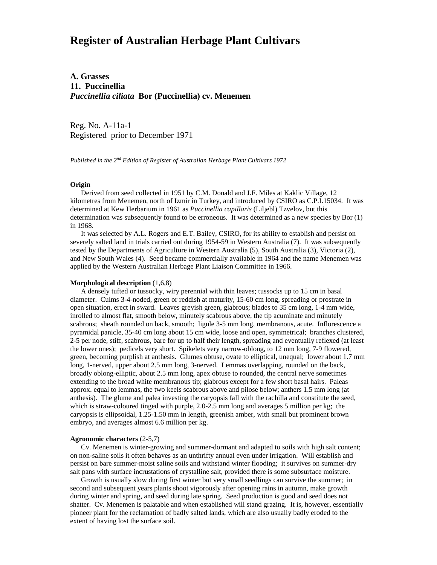# **Register of Australian Herbage Plant Cultivars**

**A. Grasses 11. Puccinellia** *Puccinellia ciliata* **Bor (Puccinellia) cv. Menemen**

Reg. No. A-11a-1 Registered prior to December 1971

*Published in the 2nd Edition of Register of Australian Herbage Plant Cultivars 1972*

# **Origin**

 Derived from seed collected in 1951 by C.M. Donald and J.F. Miles at Kaklic Village, 12 kilometres from Menemen, north of Izmir in Turkey, and introduced by CSIRO as C.P.I.15034. It was determined at Kew Herbarium in 1961 as *Puccinellia capillaris* (Liljebl) Tzvelov, but this determination was subsequently found to be erroneous. It was determined as a new species by Bor (1) in 1968.

 It was selected by A.L. Rogers and E.T. Bailey, CSIRO, for its ability to establish and persist on severely salted land in trials carried out during 1954-59 in Western Australia (7). It was subsequently tested by the Departments of Agriculture in Western Australia (5), South Australia (3), Victoria (2), and New South Wales (4). Seed became commercially available in 1964 and the name Menemen was applied by the Western Australian Herbage Plant Liaison Committee in 1966.

### **Morphological description** (1,6,8)

 A densely tufted or tussocky, wiry perennial with thin leaves; tussocks up to 15 cm in basal diameter. Culms 3-4-noded, green or reddish at maturity, 15-60 cm long, spreading or prostrate in open situation, erect in sward. Leaves greyish green, glabrous; blades to 35 cm long, 1-4 mm wide, inrolled to almost flat, smooth below, minutely scabrous above, the tip acuminate and minutely scabrous; sheath rounded on back, smooth; ligule 3-5 mm long, membranous, acute. Inflorescence a pyramidal panicle, 35-40 cm long about 15 cm wide, loose and open, symmetrical; branches clustered, 2-5 per node, stiff, scabrous, bare for up to half their length, spreading and eventually reflexed (at least the lower ones); pedicels very short. Spikelets very narrow-oblong, to 12 mm long, 7-9 flowered, green, becoming purplish at anthesis. Glumes obtuse, ovate to elliptical, unequal; lower about 1.7 mm long, 1-nerved, upper about 2.5 mm long, 3-nerved. Lemmas overlapping, rounded on the back, broadly oblong-elliptic, about 2.5 mm long, apex obtuse to rounded, the central nerve sometimes extending to the broad white membranous tip; glabrous except for a few short basal hairs. Paleas approx. equal to lemmas, the two keels scabrous above and pilose below; anthers 1.5 mm long (at anthesis). The glume and palea investing the caryopsis fall with the rachilla and constitute the seed, which is straw-coloured tinged with purple, 2.0-2.5 mm long and averages 5 million per kg; the caryopsis is ellipsoidal, 1.25-1.50 mm in length, greenish amber, with small but prominent brown embryo, and averages almost 6.6 million per kg.

# **Agronomic characters** (2-5,7)

 Cv. Menemen is winter-growing and summer-dormant and adapted to soils with high salt content; on non-saline soils it often behaves as an unthrifty annual even under irrigation. Will establish and persist on bare summer-moist saline soils and withstand winter flooding; it survives on summer-dry salt pans with surface incrustations of crystalline salt, provided there is some subsurface moisture.

 Growth is usually slow during first winter but very small seedlings can survive the summer; in second and subsequent years plants shoot vigorously after opening rains in autumn, make growth during winter and spring, and seed during late spring. Seed production is good and seed does not shatter. Cv. Menemen is palatable and when established will stand grazing. It is, however, essentially pioneer plant for the reclamation of badly salted lands, which are also usually badly eroded to the extent of having lost the surface soil.